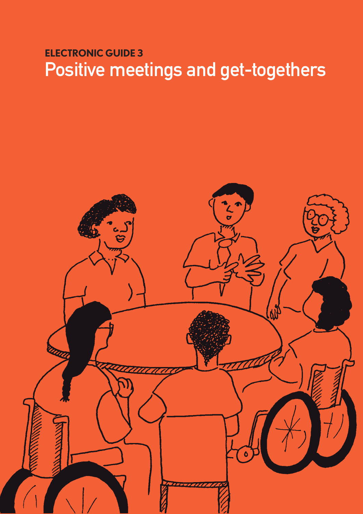# **ELECTRONIC GUIDE 3** Positive meetings and get-togethers

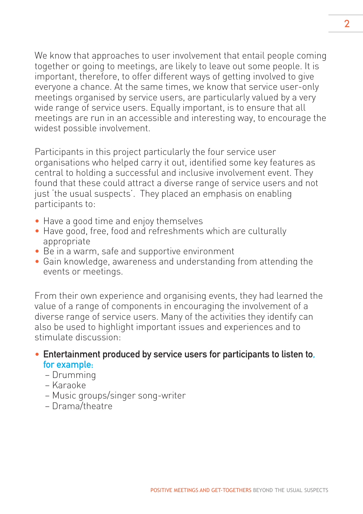We know that approaches to user involvement that entail people coming together or going to meetings, are likely to leave out some people. It is important, therefore, to offer different ways of getting involved to give everyone a chance. At the same times, we know that service user-only meetings organised by service users, are particularly valued by a very wide range of service users. Equally important, is to ensure that all meetings are run in an accessible and interesting way, to encourage the widest possible involvement.

Participants in this project particularly the four service user organisations who helped carry it out, identified some key features as central to holding a successful and inclusive involvement event. They found that these could attract a diverse range of service users and not just 'the usual suspects'. They placed an emphasis on enabling participants to:

- Have a good time and enjoy themselves
- Have good, free, food and refreshments which are culturally appropriate
- Be in a warm, safe and supportive environment
- Gain knowledge, awareness and understanding from attending the events or meetings.

From their own experience and organising events, they had learned the value of a range of components in encouraging the involvement of a diverse range of service users. Many of the activities they identify can also be used to highlight important issues and experiences and to stimulate discussion:

#### • Entertainment produced by service users for participants to listen to, for example:

- Drumming
- Karaoke
- Music groups/singer song-writer
- Drama/theatre